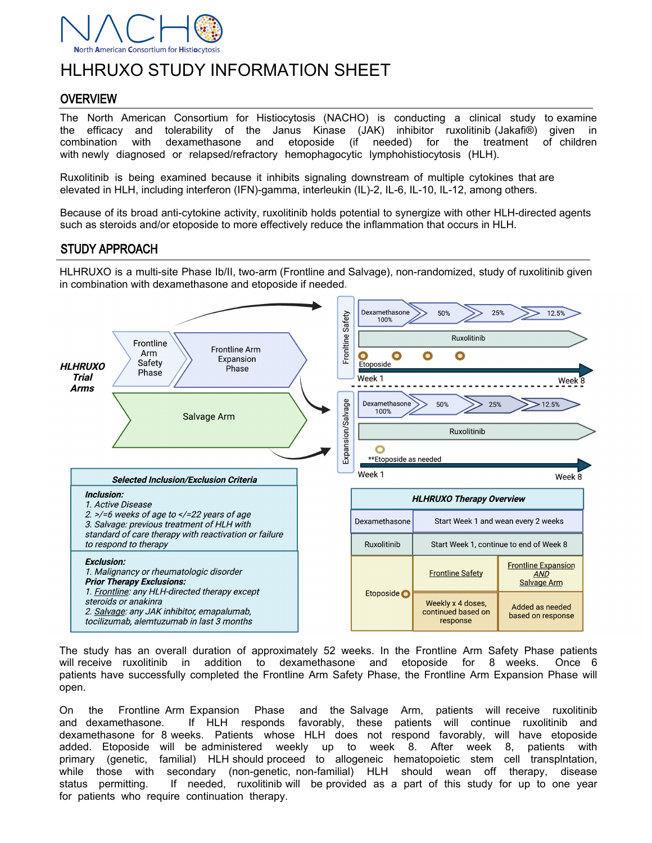

# HLHRUXO STUDY INFORMATION SHEET

## **OVERVIEW**

The North American Consortium for Histiocytosis (NACHO) is conducting a clinical study to examine the efficacy and tolerability of the Janus Kinase (JAK) inhibitor ruxolitinib (Jakafi®) given in combination with dexamethasone and etoposide (if needed) for the treatment of children with newly diagnosed or relapsed/refractory hemophagocytic lymphohistiocytosis (HLH).

Ruxolitinib is being examined because it inhibits signaling downstream of multiple cytokines that are elevated in HLH, including interferon (IFN)-gamma, interleukin (IL)-2, IL-6, IL-10, IL-12, among others.

Because of its broad anti-cytokine activity, ruxolitinib holds potential to synergize with other HLH-directed agents such as steroids and/or etoposide to more effectively reduce the inflammation that occurs in HLH.

### STUDY APPROACH

HLHRUXO is a multi-site Phase Ib/II, two-arm (Frontline and Salvage), non-randomized, study of ruxolitinib given in combination with dexamethasone and etoposide if needed*.* 



The study has an overall duration of approximately 52 weeks. In the Frontline Arm Safety Phase patients will receive ruxolitinib in addition to dexamethasone and etoposide for 8 weeks. Once 6 patients have successfully completed the Frontline Arm Safety Phase, the Frontline Arm Expansion Phase will open.

On the Frontline Arm Expansion Phase and the Salvage Arm, patients will receive ruxolitinib and dexamethasone. If HLH responds favorably, these patients will continue ruxolitinib and dexamethasone for 8 weeks. Patients whose HLH does not respond favorably, will have etoposide added. Etoposide will be administered weekly up to week 8. After week 8, patients with primary (genetic, familial) HLH should proceed to allogeneic hematopoietic stem cell transplntation, while those with secondary (non-genetic, non-familial) HLH should wean off therapy, disease status permitting. If needed, ruxolitinib will be provided as a part of this study for up to one year for patients who require continuation therapy.